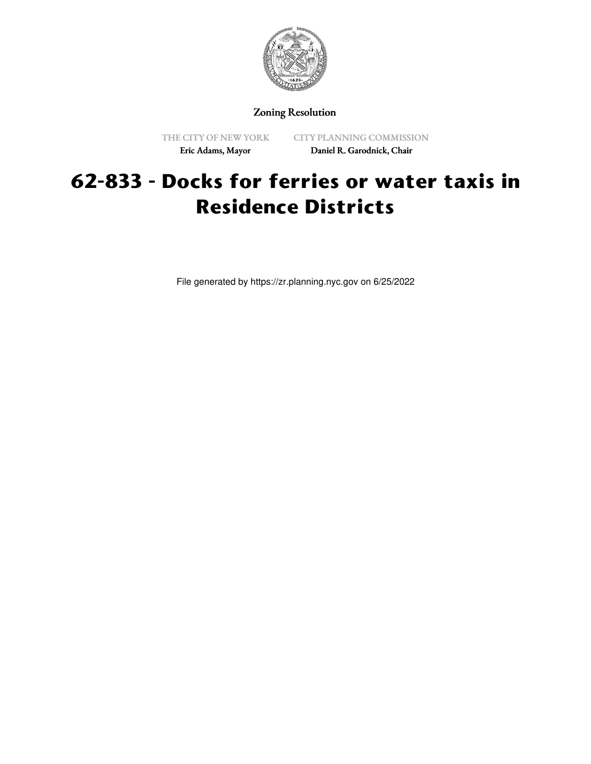

## Zoning Resolution

THE CITY OF NEW YORK Eric Adams, Mayor

CITY PLANNING COMMISSION Daniel R. Garodnick, Chair

## **62-833 - Docks for ferries or water taxis in Residence Districts**

File generated by https://zr.planning.nyc.gov on 6/25/2022